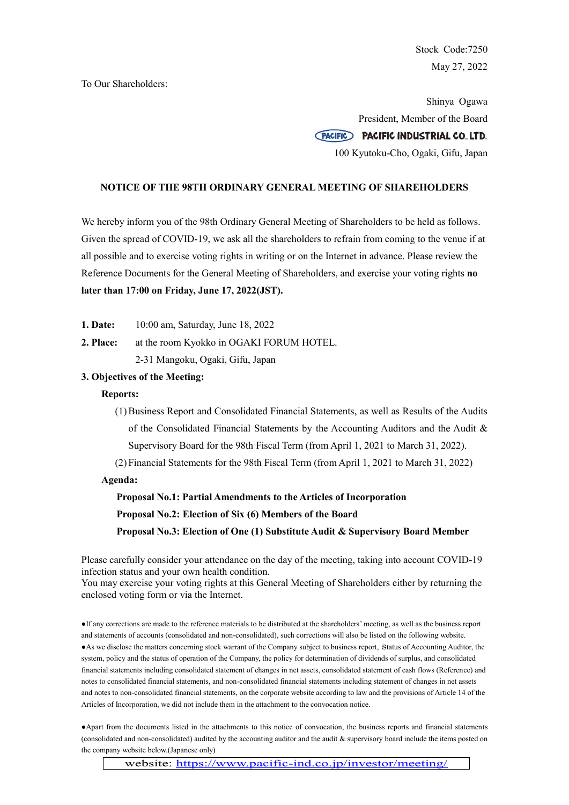Stock Code:7250 May 27, 2022

To Our Shareholders:

Shinya Ogawa President, Member of the Board PACIFIC PACIFIC INDUSTRIAL CO., LTD. 100 Kyutoku-Cho, Ogaki, Gifu, Japan

### **NOTICE OF THE 98TH ORDINARY GENERAL MEETING OF SHAREHOLDERS**

We hereby inform you of the 98th Ordinary General Meeting of Shareholders to be held as follows. Given the spread of COVID-19, we ask all the shareholders to refrain from coming to the venue if at all possible and to exercise voting rights in writing or on the Internet in advance. Please review the Reference Documents for the General Meeting of Shareholders, and exercise your voting rights **no later than 17:00 on Friday, June 17, 2022(JST).**

**1. Date:** 10:00 am, Saturday, June 18, 2022

**2. Place:** at the room Kyokko in OGAKI FORUM HOTEL.

2-31 Mangoku, Ogaki, Gifu, Japan

# **3. Objectives of the Meeting:**

#### **Reports:**

(1)Business Report and Consolidated Financial Statements, as well as Results of the Audits of the Consolidated Financial Statements by the Accounting Auditors and the Audit & Supervisory Board for the 98th Fiscal Term (from April 1, 2021 to March 31, 2022).

(2) Financial Statements for the 98th Fiscal Term (from April 1, 2021 to March 31, 2022)

**Agenda:**

**Proposal No.1: Partial Amendments to the Articles of Incorporation Proposal No.2: Election of Six (6) Members of the Board Proposal No.3: Election of One (1) Substitute Audit & Supervisory Board Member**

Please carefully consider your attendance on the day of the meeting, taking into account COVID-19 infection status and your own health condition.

You may exercise your voting rights at this General Meeting of Shareholders either by returning the enclosed voting form or via the Internet.

●If any corrections are made to the reference materials to be distributed at the shareholders' meeting, as well as the business report and statements of accounts (consolidated and non-consolidated), such corrections will also be listed on the following website. ●As we disclose the matters concerning stock warrant of the Company subject to business report, status of Accounting Auditor, the system, policy and the status of operation of the Company, the policy for determination of dividends of surplus, and consolidated financial statements including consolidated statement of changes in net assets, consolidated statement of cash flows (Reference) and notes to consolidated financial statements, and non-consolidated financial statements including statement of changes in net assets and notes to non-consolidated financial statements, on the corporate website according to law and the provisions of Article 14 of the Articles of Incorporation, we did not include them in the attachment to the convocation notice.

●Apart from the documents listed in the attachments to this notice of convocation, the business reports and financial statements (consolidated and non-consolidated) audited by the accounting auditor and the audit & supervisory board include the items posted on the company website below.(Japanese only)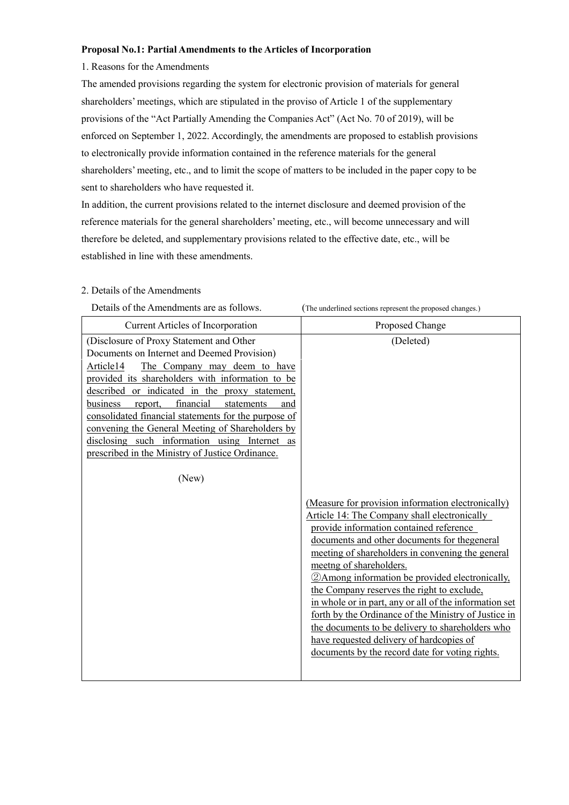# **Proposal No.1: Partial Amendments to the Articles of Incorporation**

### 1. Reasons for the Amendments

The amended provisions regarding the system for electronic provision of materials for general shareholders' meetings, which are stipulated in the proviso of Article 1 of the supplementary provisions of the "Act Partially Amending the Companies Act" (Act No. 70 of 2019), will be enforced on September 1, 2022. Accordingly, the amendments are proposed to establish provisions to electronically provide information contained in the reference materials for the general shareholders' meeting, etc., and to limit the scope of matters to be included in the paper copy to be sent to shareholders who have requested it.

In addition, the current provisions related to the internet disclosure and deemed provision of the reference materials for the general shareholders' meeting, etc., will become unnecessary and will therefore be deleted, and supplementary provisions related to the effective date, etc., will be established in line with these amendments.

# 2. Details of the Amendments

| Details of the Amendments are as follows.                                                                                                                                                                                                                                                                                                                                                                                                                                                                                     | (The underlined sections represent the proposed changes.)                                                                                                                                                                                                                                                                                                                                                                                                                                                                                                                                                                                                              |
|-------------------------------------------------------------------------------------------------------------------------------------------------------------------------------------------------------------------------------------------------------------------------------------------------------------------------------------------------------------------------------------------------------------------------------------------------------------------------------------------------------------------------------|------------------------------------------------------------------------------------------------------------------------------------------------------------------------------------------------------------------------------------------------------------------------------------------------------------------------------------------------------------------------------------------------------------------------------------------------------------------------------------------------------------------------------------------------------------------------------------------------------------------------------------------------------------------------|
| <b>Current Articles of Incorporation</b>                                                                                                                                                                                                                                                                                                                                                                                                                                                                                      | Proposed Change                                                                                                                                                                                                                                                                                                                                                                                                                                                                                                                                                                                                                                                        |
| (Disclosure of Proxy Statement and Other<br>Documents on Internet and Deemed Provision)<br>Article14<br>The Company may deem to have<br>provided its shareholders with information to be<br>described or indicated in the proxy statement,<br>financial<br>business<br>report,<br>statements<br>and<br>consolidated financial statements for the purpose of<br>convening the General Meeting of Shareholders by<br>disclosing such information using Internet as<br>prescribed in the Ministry of Justice Ordinance.<br>(New) | (Deleted)<br>(Measure for provision information electronically)<br>Article 14: The Company shall electronically<br>provide information contained reference<br>documents and other documents for thegeneral<br>meeting of shareholders in convening the general<br>meetng of shareholders.<br><b>2</b> Among information be provided electronically,<br>the Company reserves the right to exclude.<br>in whole or in part, any or all of the information set<br>forth by the Ordinance of the Ministry of Justice in<br>the documents to be delivery to shareholders who<br>have requested delivery of hardcopies of<br>documents by the record date for voting rights. |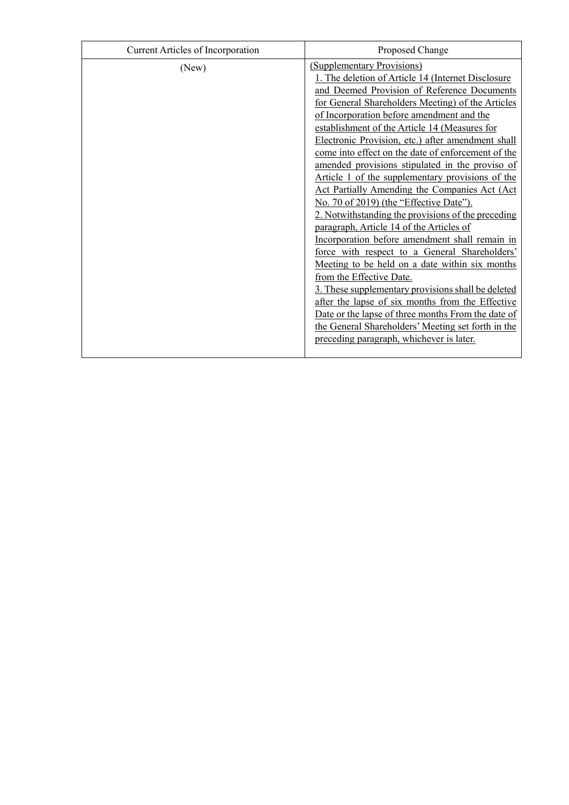| Current Articles of Incorporation | Proposed Change                                                                                                                                                                                                                                                                                                                                                                                                                                                                                                                                                                                                                                                                                                                                                                                                                                                                                                                                                                                                                                                                                                                                       |
|-----------------------------------|-------------------------------------------------------------------------------------------------------------------------------------------------------------------------------------------------------------------------------------------------------------------------------------------------------------------------------------------------------------------------------------------------------------------------------------------------------------------------------------------------------------------------------------------------------------------------------------------------------------------------------------------------------------------------------------------------------------------------------------------------------------------------------------------------------------------------------------------------------------------------------------------------------------------------------------------------------------------------------------------------------------------------------------------------------------------------------------------------------------------------------------------------------|
| (New)                             | (Supplementary Provisions)<br>1. The deletion of Article 14 (Internet Disclosure<br>and Deemed Provision of Reference Documents<br>for General Shareholders Meeting) of the Articles<br>of Incorporation before amendment and the<br>establishment of the Article 14 (Measures for<br>Electronic Provision, etc.) after amendment shall<br>come into effect on the date of enforcement of the<br>amended provisions stipulated in the proviso of<br>Article 1 of the supplementary provisions of the<br>Act Partially Amending the Companies Act (Act<br>No. 70 of 2019) (the "Effective Date").<br>2. Notwithstanding the provisions of the preceding<br>paragraph, Article 14 of the Articles of<br>Incorporation before amendment shall remain in<br>force with respect to a General Shareholders'<br>Meeting to be held on a date within six months<br>from the Effective Date.<br>3. These supplementary provisions shall be deleted<br>after the lapse of six months from the Effective<br>Date or the lapse of three months From the date of<br>the General Shareholders' Meeting set forth in the<br>preceding paragraph, whichever is later. |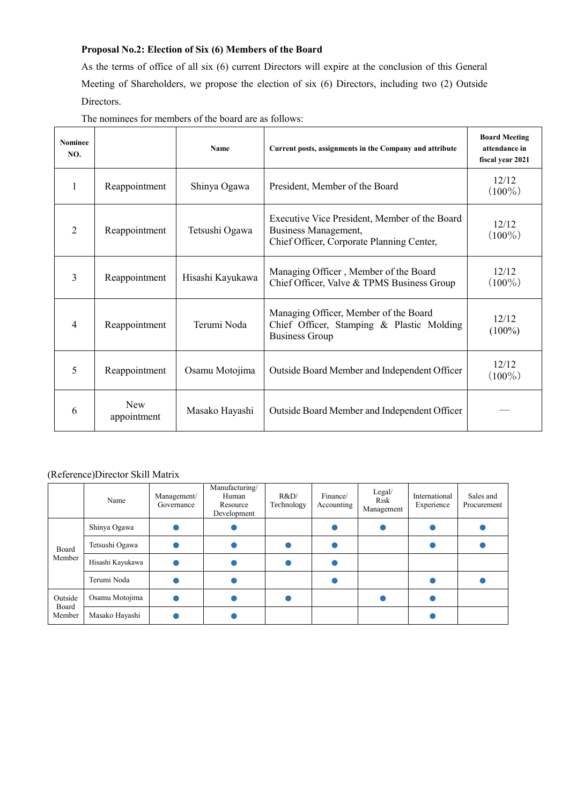# **Proposal No.2: Election of Six (6) Members of the Board**

As the terms of office of all six (6) current Directors will expire at the conclusion of this General Meeting of Shareholders, we propose the election of six (6) Directors, including two (2) Outside Directors.

| <b>Nominee</b><br>NO. |                           | Name             | Current posts, assignments in the Company and attribute                                                            | <b>Board Meeting</b><br>attendance in<br>fiscal year 2021 |
|-----------------------|---------------------------|------------------|--------------------------------------------------------------------------------------------------------------------|-----------------------------------------------------------|
| 1                     | Reappointment             | Shinya Ogawa     | President, Member of the Board                                                                                     | 12/12<br>$(100\%)$                                        |
| $\overline{2}$        | Reappointment             | Tetsushi Ogawa   | Executive Vice President, Member of the Board<br>Business Management,<br>Chief Officer, Corporate Planning Center, | 12/12<br>$(100\%)$                                        |
| $\overline{3}$        | Reappointment             | Hisashi Kayukawa | Managing Officer, Member of the Board<br>Chief Officer, Valve & TPMS Business Group                                | 12/12<br>$(100\%)$                                        |
| 4                     | Reappointment             | Terumi Noda      | Managing Officer, Member of the Board<br>Chief Officer, Stamping & Plastic Molding<br><b>Business Group</b>        | 12/12<br>$(100\%)$                                        |
| 5                     | Reappointment             | Osamu Motojima   | Outside Board Member and Independent Officer                                                                       | 12/12<br>$(100\%)$                                        |
| 6                     | <b>New</b><br>appointment | Masako Hayashi   | Outside Board Member and Independent Officer                                                                       |                                                           |

# (Reference)Director Skill Matrix

|                            | Name             | Management/<br>Governance | Manufacturing/<br>Human<br>Resource<br>Development | R&D<br>Technology | Finance/<br>Accounting | Legal/<br>Risk<br>Management | International<br>Experience | Sales and<br>Procurement |
|----------------------------|------------------|---------------------------|----------------------------------------------------|-------------------|------------------------|------------------------------|-----------------------------|--------------------------|
|                            | Shinya Ogawa     |                           |                                                    |                   |                        |                              |                             |                          |
| Board                      | Tetsushi Ogawa   |                           |                                                    |                   |                        |                              |                             |                          |
| Member                     | Hisashi Kayukawa |                           |                                                    |                   |                        |                              |                             |                          |
|                            | Terumi Noda      |                           |                                                    |                   |                        |                              |                             |                          |
| Outside<br>Board<br>Member | Osamu Motojima   |                           |                                                    |                   |                        |                              |                             |                          |
|                            | Masako Hayashi   |                           |                                                    |                   |                        |                              |                             |                          |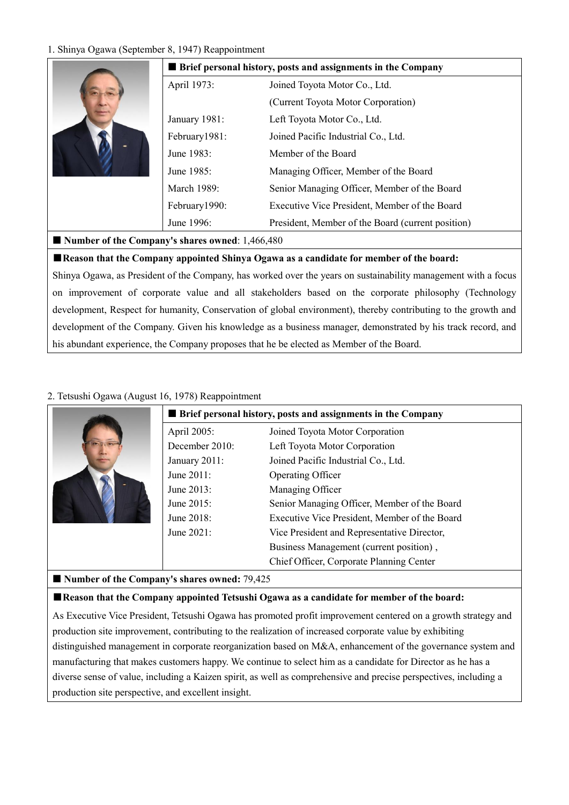# 1. Shinya Ogawa (September 8, 1947) Reappointment

|                                                   | <b>Example 1</b> Brief personal history, posts and assignments in the Company |                                                   |  |
|---------------------------------------------------|-------------------------------------------------------------------------------|---------------------------------------------------|--|
|                                                   | April 1973:                                                                   | Joined Toyota Motor Co., Ltd.                     |  |
|                                                   |                                                                               | (Current Toyota Motor Corporation)                |  |
|                                                   | January 1981:                                                                 | Left Toyota Motor Co., Ltd.                       |  |
|                                                   | February1981:                                                                 | Joined Pacific Industrial Co., Ltd.               |  |
|                                                   | June 1983:                                                                    | Member of the Board                               |  |
|                                                   | June 1985:                                                                    | Managing Officer, Member of the Board             |  |
|                                                   | March 1989:                                                                   | Senior Managing Officer, Member of the Board      |  |
|                                                   | February1990:                                                                 | Executive Vice President, Member of the Board     |  |
|                                                   | June 1996:                                                                    | President, Member of the Board (current position) |  |
| ■ Number of the Company's shares owned: 1,466,480 |                                                                               |                                                   |  |

# ■**Reason that the Company appointed Shinya Ogawa as a candidate for member of the board:**

Shinya Ogawa, as President of the Company, has worked over the years on sustainability management with a focus on improvement of corporate value and all stakeholders based on the corporate philosophy (Technology development, Respect for humanity, Conservation of global environment), thereby contributing to the growth and development of the Company. Given his knowledge as a business manager, demonstrated by his track record, and his abundant experience, the Company proposes that he be elected as Member of the Board.

# 2. Tetsushi Ogawa (August 16, 1978) Reappointment

|                | <b>Example 1</b> Brief personal history, posts and assignments in the Company |
|----------------|-------------------------------------------------------------------------------|
| April 2005:    | Joined Toyota Motor Corporation                                               |
| December 2010: | Left Toyota Motor Corporation                                                 |
| January 2011:  | Joined Pacific Industrial Co., Ltd.                                           |
| June 2011:     | Operating Officer                                                             |
| June 2013:     | Managing Officer                                                              |
| June 2015:     | Senior Managing Officer, Member of the Board                                  |
| June 2018:     | Executive Vice President, Member of the Board                                 |
| June 2021:     | Vice President and Representative Director,                                   |
|                | Business Management (current position),                                       |
|                | Chief Officer, Corporate Planning Center                                      |

# ■ Number of the Company's shares owned: 79,425

# ■**Reason that the Company appointed Tetsushi Ogawa as a candidate for member of the board:**

As Executive Vice President, Tetsushi Ogawa has promoted profit improvement centered on a growth strategy and production site improvement, contributing to the realization of increased corporate value by exhibiting distinguished management in corporate reorganization based on M&A, enhancement of the governance system and manufacturing that makes customers happy. We continue to select him as a candidate for Director as he has a diverse sense of value, including a Kaizen spirit, as well as comprehensive and precise perspectives, including a production site perspective, and excellent insight.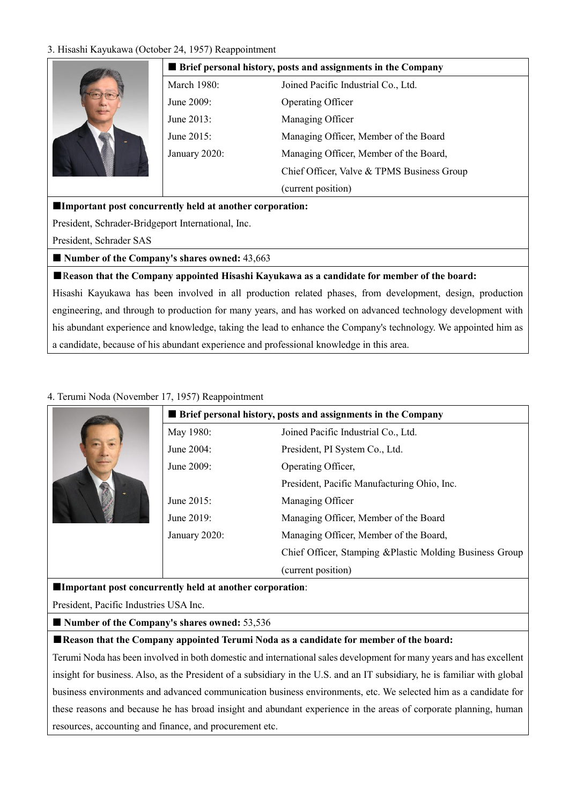# 3. Hisashi Kayukawa (Octol



| ber 24, 1957) Reappointment                                         |                                            |  |  |
|---------------------------------------------------------------------|--------------------------------------------|--|--|
| <b>Brief personal history, posts and assignments in the Company</b> |                                            |  |  |
| March 1980:                                                         | Joined Pacific Industrial Co., Ltd.        |  |  |
| June 2009:                                                          | Operating Officer                          |  |  |
| June 2013:                                                          | Managing Officer                           |  |  |
| June 2015:                                                          | Managing Officer, Member of the Board      |  |  |
| January 2020:                                                       | Managing Officer, Member of the Board,     |  |  |
|                                                                     | Chief Officer, Valve & TPMS Business Group |  |  |
|                                                                     | (current position)                         |  |  |

### **Important post concurrently held at another corporation:**

President, Schrader-Bridgeport International, Inc.

President, Schrader SAS

■ Number of the Company's shares owned: 43,663

### ■R**eason that the Company appointed Hisashi Kayukawa as a candidate for member of the board:**

Hisashi Kayukawa has been involved in all production related phases, from development, design, production engineering, and through to production for many years, and has worked on advanced technology development with his abundant experience and knowledge, taking the lead to enhance the Company's technology. We appointed him as a candidate, because of his abundant experience and professional knowledge in this area.

# 4. Terumi Noda (November 17, 1957) Reappointment

|               | <b>Example 1</b> Brief personal history, posts and assignments in the Company |
|---------------|-------------------------------------------------------------------------------|
| May 1980:     | Joined Pacific Industrial Co., Ltd.                                           |
| June 2004:    | President, PI System Co., Ltd.                                                |
| June 2009:    | Operating Officer,                                                            |
|               | President, Pacific Manufacturing Ohio, Inc.                                   |
| June 2015:    | Managing Officer                                                              |
| June 2019:    | Managing Officer, Member of the Board                                         |
| January 2020: | Managing Officer, Member of the Board,                                        |
|               | Chief Officer, Stamping & Plastic Molding Business Group                      |
|               | (current position)                                                            |

#### **Important post concurrently held at another corporation**:

President, Pacific Industries USA Inc.

■ Number of the Company's shares owned: 53,536

# ■**Reason that the Company appointed Terumi Noda as a candidate for member of the board:**

Terumi Noda has been involved in both domestic and international sales development for many years and has excellent insight for business. Also, as the President of a subsidiary in the U.S. and an IT subsidiary, he is familiar with global business environments and advanced communication business environments, etc. We selected him as a candidate for these reasons and because he has broad insight and abundant experience in the areas of corporate planning, human resources, accounting and finance, and procurement etc.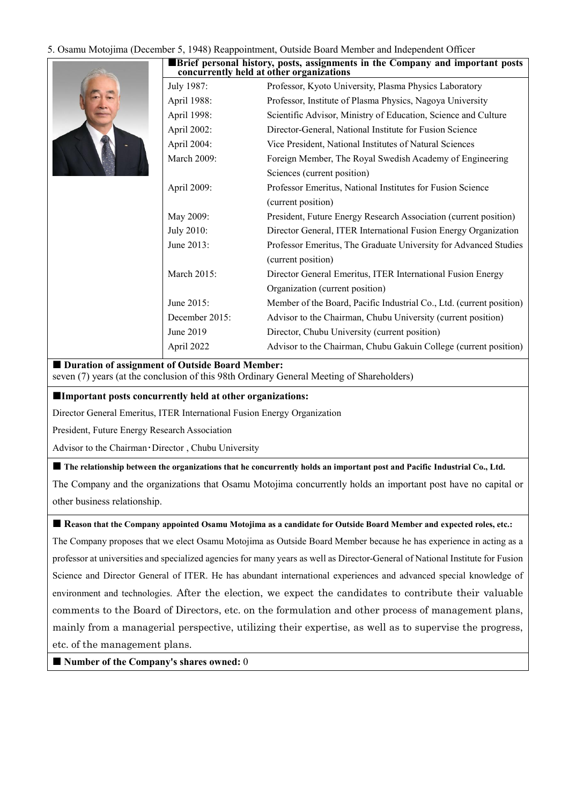#### 5. Osamu Motojima (December 5, 1948) Reappointment, Outside Board Member and Independent Officer

|                    | Brief personal history, posts, assignments in the Company and important posts<br>concurrently held at other organizations |
|--------------------|---------------------------------------------------------------------------------------------------------------------------|
| July 1987:         | Professor, Kyoto University, Plasma Physics Laboratory                                                                    |
| April 1988:        | Professor, Institute of Plasma Physics, Nagoya University                                                                 |
| April 1998:        | Scientific Advisor, Ministry of Education, Science and Culture                                                            |
| April 2002:        | Director-General, National Institute for Fusion Science                                                                   |
| April 2004:        | Vice President, National Institutes of Natural Sciences                                                                   |
| <b>March 2009:</b> | Foreign Member, The Royal Swedish Academy of Engineering                                                                  |
|                    | Sciences (current position)                                                                                               |
| April 2009:        | Professor Emeritus, National Institutes for Fusion Science                                                                |
|                    | (current position)                                                                                                        |
| May 2009:          | President, Future Energy Research Association (current position)                                                          |
| July 2010:         | Director General, ITER International Fusion Energy Organization                                                           |
| June 2013:         | Professor Emeritus, The Graduate University for Advanced Studies                                                          |
|                    | (current position)                                                                                                        |
| March 2015:        | Director General Emeritus, ITER International Fusion Energy                                                               |
|                    | Organization (current position)                                                                                           |
| June 2015:         | Member of the Board, Pacific Industrial Co., Ltd. (current position)                                                      |
| December 2015:     | Advisor to the Chairman, Chubu University (current position)                                                              |
| June 2019          | Director, Chubu University (current position)                                                                             |
| April 2022         | Advisor to the Chairman, Chubu Gakuin College (current position)                                                          |

#### $\blacksquare$  Duration of assignment of Outside Board Member:

seven (7) years (at the conclusion of this 98th Ordinary General Meeting of Shareholders)

#### **Important posts concurrently held at other organizations:**

Director General Emeritus, ITER International Fusion Energy Organization

President, Future Energy Research Association

Advisor to the Chairman・Director , Chubu University

**The relationship between the organizations that he concurrently holds an important post and Pacific Industrial Co., Ltd.**

The Company and the organizations that Osamu Motojima concurrently holds an important post have no capital or other business relationship.

 **Reason that the Company appointed Osamu Motojima as a candidate for Outside Board Member and expected roles, etc.:** The Company proposes that we elect Osamu Motojima as Outside Board Member because he has experience in acting as a professor at universities and specialized agencies for many years as well as Director-General of National Institute for Fusion Science and Director General of ITER. He has abundant international experiences and advanced special knowledge of environment and technologies. After the election, we expect the candidates to contribute their valuable comments to the Board of Directors, etc. on the formulation and other process of management plans, mainly from a managerial perspective, utilizing their expertise, as well as to supervise the progress, etc. of the management plans.

■ Number of the Company's shares owned: 0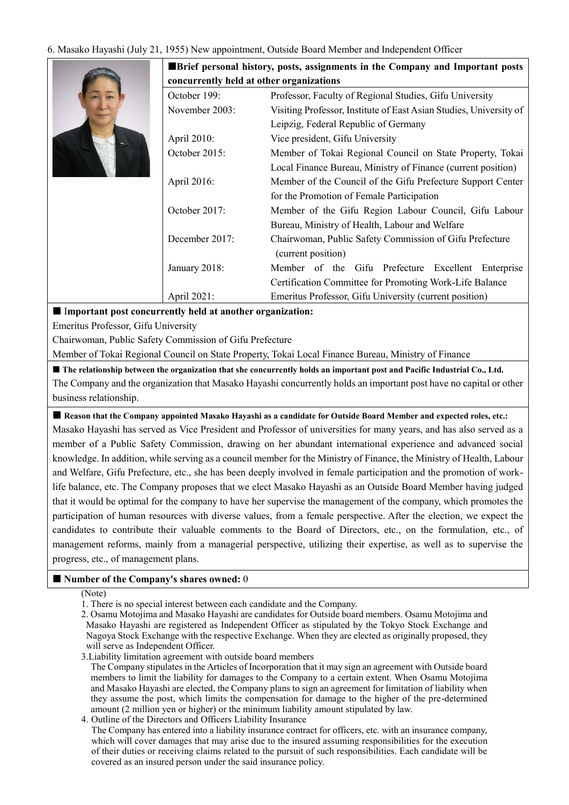# 6. Masako Hayashi (July 21, 1955) New appointment, Outside Board Member and Independent Officer



**Brief personal history, posts, assignments in the Company and Important posts** 

| concurrently held at other organizations |                                                                    |  |  |
|------------------------------------------|--------------------------------------------------------------------|--|--|
| October 199:                             | Professor, Faculty of Regional Studies, Gifu University            |  |  |
| November 2003:                           | Visiting Professor, Institute of East Asian Studies, University of |  |  |
|                                          | Leipzig, Federal Republic of Germany                               |  |  |
| April 2010:                              | Vice president, Gifu University                                    |  |  |
| October 2015:                            | Member of Tokai Regional Council on State Property, Tokai          |  |  |
|                                          | Local Finance Bureau, Ministry of Finance (current position)       |  |  |
| April 2016:                              | Member of the Council of the Gifu Prefecture Support Center        |  |  |
|                                          | for the Promotion of Female Participation                          |  |  |
| October 2017:                            | Member of the Gifu Region Labour Council, Gifu Labour              |  |  |
|                                          | Bureau, Ministry of Health, Labour and Welfare                     |  |  |
| December 2017:                           | Chairwoman, Public Safety Commission of Gifu Prefecture            |  |  |
|                                          | (current position)                                                 |  |  |
| January 2018:                            | Member of the Gifu Prefecture Excellent Enterprise                 |  |  |
|                                          | Certification Committee for Promoting Work-Life Balance            |  |  |
| April 2021:                              | Emeritus Professor, Gifu University (current position)             |  |  |
|                                          |                                                                    |  |  |

I**mportant post concurrently held at another organization:**

Emeritus Professor, Gifu University

Chairwoman, Public Safety Commission of Gifu Prefecture

Member of Tokai Regional Council on State Property, Tokai Local Finance Bureau, Ministry of Finance

 **The relationship between the organization that she concurrently holds an important post and Pacific Industrial Co., Ltd.** The Company and the organization that Masako Hayashi concurrently holds an important post have no capital or other

business relationship.

 **Reason that the Company appointed Masako Hayashi as a candidate for Outside Board Member and expected roles, etc.:** Masako Hayashi has served as Vice President and Professor of universities for many years, and has also served as a member of a Public Safety Commission, drawing on her abundant international experience and advanced social knowledge. In addition, while serving as a council member for the Ministry of Finance, the Ministry of Health, Labour and Welfare, Gifu Prefecture, etc., she has been deeply involved in female participation and the promotion of worklife balance, etc. The Company proposes that we elect Masako Hayashi as an Outside Board Member having judged that it would be optimal for the company to have her supervise the management of the company, which promotes the participation of human resources with diverse values, from a female perspective. After the election, we expect the candidates to contribute their valuable comments to the Board of Directors, etc., on the formulation, etc., of management reforms, mainly from a managerial perspective, utilizing their expertise, as well as to supervise the progress, etc., of management plans.

# **Number of the Company's shares owned:** 0

(Note)

1. There is no special interest between each candidate and the Company.

2. Osamu Motojima and Masako Hayashi are candidates for Outside board members. Osamu Motojima and Masako Hayashi are registered as Independent Officer as stipulated by the Tokyo Stock Exchange and Nagoya Stock Exchange with the respective Exchange. When they are elected as originally proposed, they will serve as Independent Officer.

3.Liability limitation agreement with outside board members

The Company stipulates in the Articles of Incorporation that it may sign an agreement with Outside board members to limit the liability for damages to the Company to a certain extent. When Osamu Motojima and Masako Hayashi are elected, the Company plans to sign an agreement for limitation of liability when they assume the post, which limits the compensation for damage to the higher of the pre-determined amount (2 million yen or higher) or the minimum liability amount stipulated by law.

4. Outline of the Directors and Officers Liability Insurance

The Company has entered into a liability insurance contract for officers, etc. with an insurance company, which will cover damages that may arise due to the insured assuming responsibilities for the execution of their duties or receiving claims related to the pursuit of such responsibilities. Each candidate will be covered as an insured person under the said insurance policy.